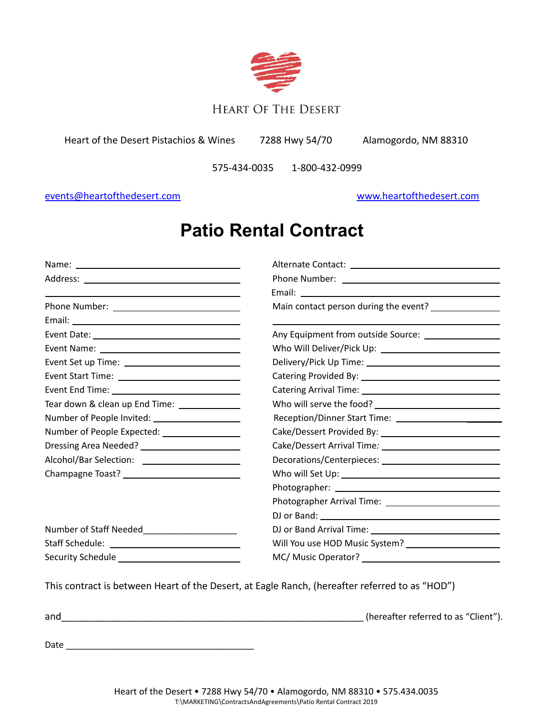

# **HEART OF THE DESERT**

Heart of the Desert Pistachios & Wines 7288 Hwy 54/70 Alamogordo, NM 88310

575-434-0035 1-800-432-0999

## [events@heartofthedesert.com](mailto:events@heartofthedesert.com) [www.heartofthedesert.com](http://www.heartofthedesert.com)

# **Patio Rental Contract**

|                                                | Main contact person during the event? _______________    |  |  |
|------------------------------------------------|----------------------------------------------------------|--|--|
|                                                |                                                          |  |  |
|                                                |                                                          |  |  |
|                                                |                                                          |  |  |
| Event Set up Time: ___________________________ |                                                          |  |  |
|                                                |                                                          |  |  |
|                                                |                                                          |  |  |
|                                                |                                                          |  |  |
|                                                |                                                          |  |  |
| Number of People Expected: __________________  |                                                          |  |  |
|                                                |                                                          |  |  |
| Alcohol/Bar Selection: _______________________ |                                                          |  |  |
|                                                |                                                          |  |  |
|                                                |                                                          |  |  |
|                                                | Photographer Arrival Time: _____________________________ |  |  |
|                                                |                                                          |  |  |
| Number of Staff Needed_______________________  |                                                          |  |  |
|                                                | Will You use HOD Music System? _______________________   |  |  |
|                                                |                                                          |  |  |

This contract is between Heart of the Desert, at Eagle Ranch, (hereafter referred to as "HOD")

| and  | (hereafter referred to as "Client"). |
|------|--------------------------------------|
|      |                                      |
| Date |                                      |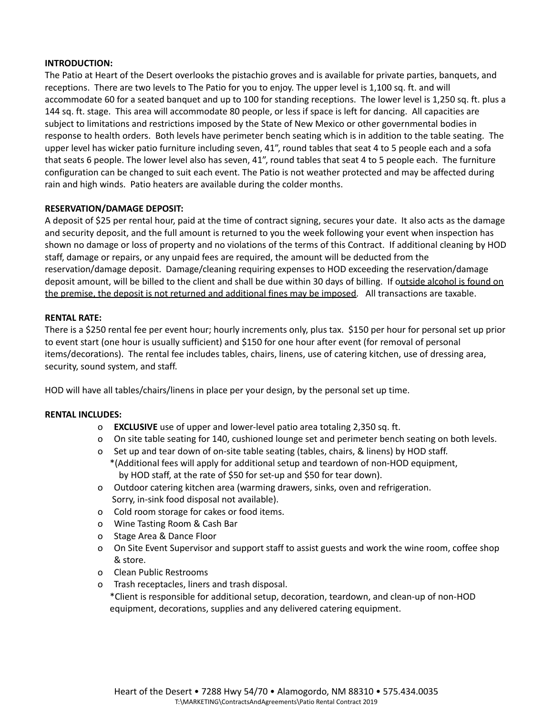#### **INTRODUCTION:**

The Patio at Heart of the Desert overlooks the pistachio groves and is available for private parties, banquets, and receptions. There are two levels to The Patio for you to enjoy. The upper level is 1,100 sq. ft. and will accommodate 60 for a seated banquet and up to 100 for standing receptions. The lower level is 1,250 sq. ft. plus a 144 sq. ft. stage. This area will accommodate 80 people, or less if space is left for dancing. All capacities are subject to limitations and restrictions imposed by the State of New Mexico or other governmental bodies in response to health orders. Both levels have perimeter bench seating which is in addition to the table seating. The upper level has wicker patio furniture including seven, 41", round tables that seat 4 to 5 people each and a sofa that seats 6 people. The lower level also has seven, 41", round tables that seat 4 to 5 people each. The furniture configuration can be changed to suit each event. The Patio is not weather protected and may be affected during rain and high winds. Patio heaters are available during the colder months.

#### **RESERVATION/DAMAGE DEPOSIT:**

A deposit of \$25 per rental hour, paid at the time of contract signing, secures your date. It also acts as the damage and security deposit, and the full amount is returned to you the week following your event when inspection has shown no damage or loss of property and no violations of the terms of this Contract. If additional cleaning by HOD staff, damage or repairs, or any unpaid fees are required, the amount will be deducted from the reservation/damage deposit. Damage/cleaning requiring expenses to HOD exceeding the reservation/damage deposit amount, will be billed to the client and shall be due within 30 days of billing. If outside alcohol is found on the premise, the deposit is not returned and additional fines may be imposed. All transactions are taxable.

#### **RENTAL RATE:**

There is a \$250 rental fee per event hour; hourly increments only, plus tax. \$150 per hour for personal set up prior to event start (one hour is usually sufficient) and \$150 for one hour after event (for removal of personal items/decorations). The rental fee includes tables, chairs, linens, use of catering kitchen, use of dressing area, security, sound system, and staff.

HOD will have all tables/chairs/linens in place per your design, by the personal set up time.

#### **RENTAL INCLUDES:**

- o **EXCLUSIVE** use of upper and lower-level patio area totaling 2,350 sq. ft.
- o On site table seating for 140, cushioned lounge set and perimeter bench seating on both levels.
- o Set up and tear down of on-site table seating (tables, chairs, & linens) by HOD staff.
- \*(Additional fees will apply for additional setup and teardown of non-HOD equipment, by HOD staff, at the rate of \$50 for set-up and \$50 for tear down).
- o Outdoor catering kitchen area (warming drawers, sinks, oven and refrigeration. Sorry, in-sink food disposal not available).
- o Cold room storage for cakes or food items.
- o Wine Tasting Room & Cash Bar
- o Stage Area & Dance Floor
- o On Site Event Supervisor and support staff to assist guests and work the wine room, coffee shop & store.
- o Clean Public Restrooms
- o Trash receptacles, liners and trash disposal.
	- \*Client is responsible for additional setup, decoration, teardown, and clean-up of non-HOD equipment, decorations, supplies and any delivered catering equipment.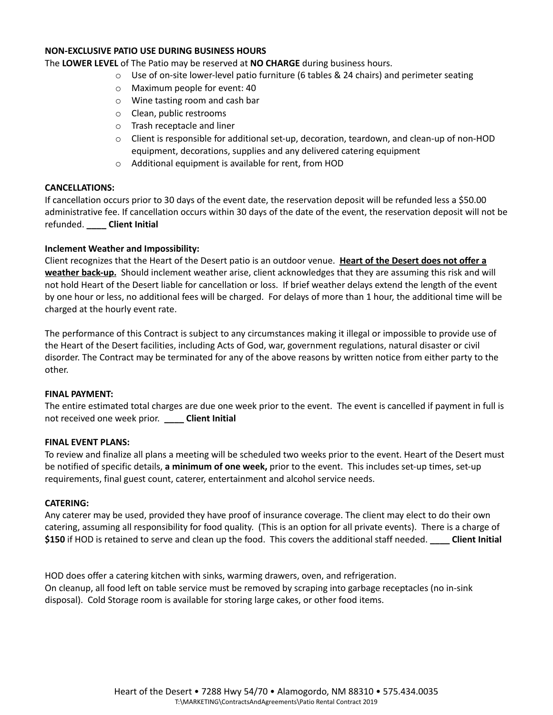#### **NON-EXCLUSIVE PATIO USE DURING BUSINESS HOURS**

The **LOWER LEVEL** of The Patio may be reserved at **NO CHARGE** during business hours.

- $\circ$  Use of on-site lower-level patio furniture (6 tables & 24 chairs) and perimeter seating
- o Maximum people for event: 40
- o Wine tasting room and cash bar
- o Clean, public restrooms
- o Trash receptacle and liner
- o Client is responsible for additional set-up, decoration, teardown, and clean-up of non-HOD equipment, decorations, supplies and any delivered catering equipment
- o Additional equipment is available for rent, from HOD

#### **CANCELLATIONS:**

If cancellation occurs prior to 30 days of the event date, the reservation deposit will be refunded less a \$50.00 administrative fee. If cancellation occurs within 30 days of the date of the event, the reservation deposit will not be refunded. **\_\_\_\_ Client Initial**

#### **Inclement Weather and Impossibility:**

Client recognizes that the Heart of the Desert patio is an outdoor venue. **Heart of the Desert does not offer a weather back-up.** Should inclement weather arise, client acknowledges that they are assuming this risk and will not hold Heart of the Desert liable for cancellation or loss. If brief weather delays extend the length of the event by one hour or less, no additional fees will be charged. For delays of more than 1 hour, the additional time will be charged at the hourly event rate.

The performance of this Contract is subject to any circumstances making it illegal or impossible to provide use of the Heart of the Desert facilities, including Acts of God, war, government regulations, natural disaster or civil disorder. The Contract may be terminated for any of the above reasons by written notice from either party to the other.

#### **FINAL PAYMENT:**

The entire estimated total charges are due one week prior to the event. The event is cancelled if payment in full is not received one week prior. **\_\_\_\_ Client Initial**

#### **FINAL EVENT PLANS:**

To review and finalize all plans a meeting will be scheduled two weeks prior to the event. Heart of the Desert must be notified of specific details, **a minimum of one week,** prior to the event. This includes set-up times, set-up requirements, final guest count, caterer, entertainment and alcohol service needs.

#### **CATERING:**

Any caterer may be used, provided they have proof of insurance coverage. The client may elect to do their own catering, assuming all responsibility for food quality. (This is an option for all private events). There is a charge of **\$150** if HOD is retained to serve and clean up the food. This covers the additional staff needed. **\_\_\_\_ Client Initial**

HOD does offer a catering kitchen with sinks, warming drawers, oven, and refrigeration. On cleanup, all food left on table service must be removed by scraping into garbage receptacles (no in-sink disposal). Cold Storage room is available for storing large cakes, or other food items.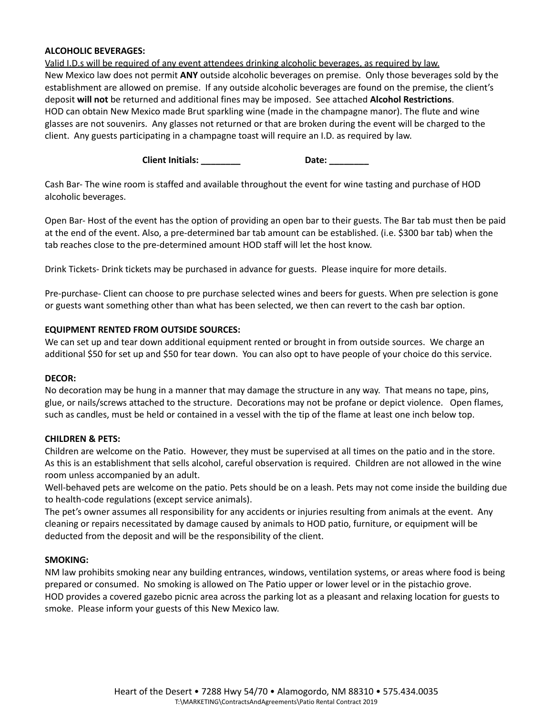#### **ALCOHOLIC BEVERAGES:**

Valid I.D.s will be required of any event attendees drinking alcoholic beverages, as required by law. New Mexico law does not permit **ANY** outside alcoholic beverages on premise. Only those beverages sold by the establishment are allowed on premise. If any outside alcoholic beverages are found on the premise, the client's deposit **will not** be returned and additional fines may be imposed. See attached **Alcohol Restrictions**. HOD can obtain New Mexico made Brut sparkling wine (made in the champagne manor). The flute and wine glasses are not souvenirs. Any glasses not returned or that are broken during the event will be charged to the client. Any guests participating in a champagne toast will require an I.D. as required by law.

**Client Initials: \_\_\_\_\_\_\_\_ Date: \_\_\_\_\_\_\_\_**

Cash Bar- The wine room is staffed and available throughout the event for wine tasting and purchase of HOD alcoholic beverages.

Open Bar- Host of the event has the option of providing an open bar to their guests. The Bar tab must then be paid at the end of the event. Also, a pre-determined bar tab amount can be established. (i.e. \$300 bar tab) when the tab reaches close to the pre-determined amount HOD staff will let the host know.

Drink Tickets- Drink tickets may be purchased in advance for guests. Please inquire for more details.

Pre-purchase- Client can choose to pre purchase selected wines and beers for guests. When pre selection is gone or guests want something other than what has been selected, we then can revert to the cash bar option.

#### **EQUIPMENT RENTED FROM OUTSIDE SOURCES:**

We can set up and tear down additional equipment rented or brought in from outside sources. We charge an additional \$50 for set up and \$50 for tear down. You can also opt to have people of your choice do this service.

#### **DECOR:**

No decoration may be hung in a manner that may damage the structure in any way. That means no tape, pins, glue, or nails/screws attached to the structure. Decorations may not be profane or depict violence. Open flames, such as candles, must be held or contained in a vessel with the tip of the flame at least one inch below top.

#### **CHILDREN & PETS:**

Children are welcome on the Patio. However, they must be supervised at all times on the patio and in the store. As this is an establishment that sells alcohol, careful observation is required. Children are not allowed in the wine room unless accompanied by an adult.

Well-behaved pets are welcome on the patio. Pets should be on a leash. Pets may not come inside the building due to health-code regulations (except service animals).

The pet's owner assumes all responsibility for any accidents or injuries resulting from animals at the event. Any cleaning or repairs necessitated by damage caused by animals to HOD patio, furniture, or equipment will be deducted from the deposit and will be the responsibility of the client.

#### **SMOKING:**

NM law prohibits smoking near any building entrances, windows, ventilation systems, or areas where food is being prepared or consumed. No smoking is allowed on The Patio upper or lower level or in the pistachio grove. HOD provides a covered gazebo picnic area across the parking lot as a pleasant and relaxing location for guests to smoke. Please inform your guests of this New Mexico law.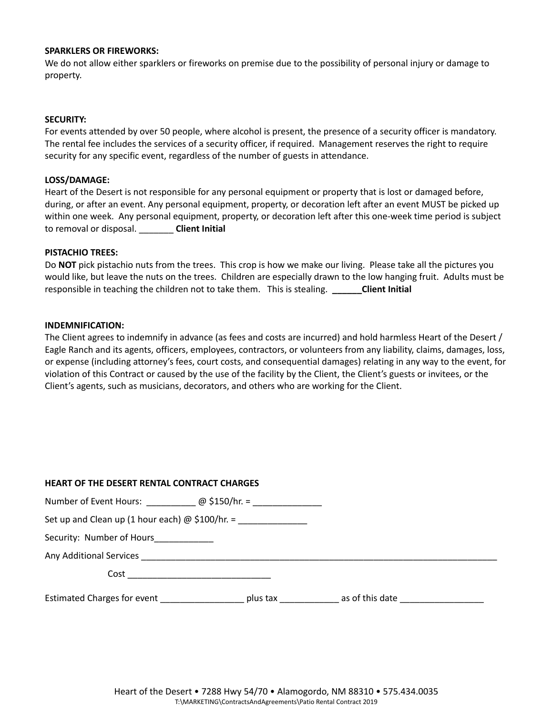#### **SPARKLERS OR FIREWORKS:**

We do not allow either sparklers or fireworks on premise due to the possibility of personal injury or damage to property.

#### **SECURITY:**

For events attended by over 50 people, where alcohol is present, the presence of a security officer is mandatory. The rental fee includes the services of a security officer, if required. Management reserves the right to require security for any specific event, regardless of the number of guests in attendance.

#### **LOSS/DAMAGE:**

Heart of the Desert is not responsible for any personal equipment or property that is lost or damaged before, during, or after an event. Any personal equipment, property, or decoration left after an event MUST be picked up within one week. Any personal equipment, property, or decoration left after this one-week time period is subject to removal or disposal. \_\_\_\_\_\_\_ **Client Initial**

#### **PISTACHIO TREES:**

Do **NOT** pick pistachio nuts from the trees. This crop is how we make our living. Please take all the pictures you would like, but leave the nuts on the trees. Children are especially drawn to the low hanging fruit. Adults must be responsible in teaching the children not to take them. This is stealing. **\_\_\_\_\_\_Client Initial**

#### **INDEMNIFICATION:**

The Client agrees to indemnify in advance (as fees and costs are incurred) and hold harmless Heart of the Desert / Eagle Ranch and its agents, officers, employees, contractors, or volunteers from any liability, claims, damages, loss, or expense (including attorney's fees, court costs, and consequential damages) relating in any way to the event, for violation of this Contract or caused by the use of the facility by the Client, the Client's guests or invitees, or the Client's agents, such as musicians, decorators, and others who are working for the Client.

### **HEART OF THE DESERT RENTAL CONTRACT CHARGES**

| Number of Event Hours: $\omega$ \$150/hr. =            |          |                 |  |
|--------------------------------------------------------|----------|-----------------|--|
| Set up and Clean up (1 hour each) $\omega$ \$100/hr. = |          |                 |  |
| Security: Number of Hours___________                   |          |                 |  |
| Any Additional Services <b>Any Additional Services</b> |          |                 |  |
| Cost                                                   |          |                 |  |
| Estimated Charges for event                            | plus tax | as of this date |  |